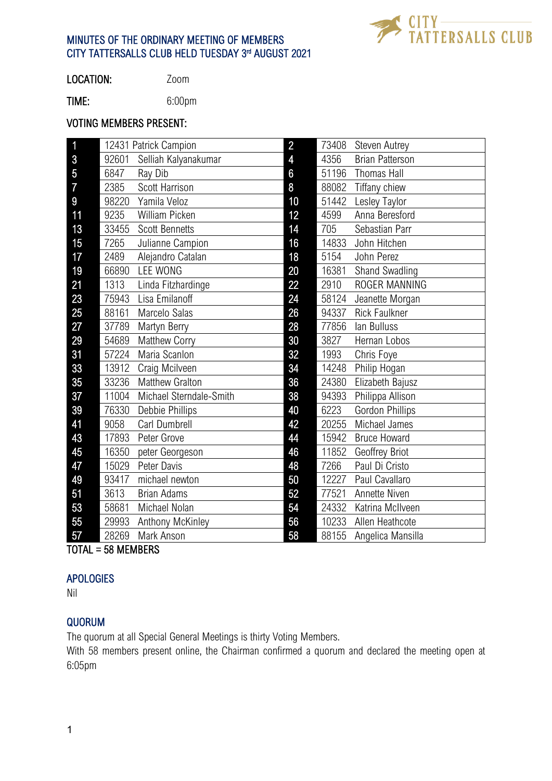

# MINUTES OF THE ORDINARY MEETING OF MEMBERS CITY TATTERSALLS CLUB HELD TUESDAY 3rd AUGUST 2021

LOCATION: Zoom

TIME: 6:00pm

### VOTING MEMBERS PRESENT:

| $\mathbf{1}$   | 12431 Patrick Campion |                         | $\overline{2}$          | 73408 | <b>Steven Autrey</b>   |
|----------------|-----------------------|-------------------------|-------------------------|-------|------------------------|
| $\overline{3}$ | 92601                 | Selliah Kalyanakumar    | $\overline{\mathbf{4}}$ | 4356  | <b>Brian Patterson</b> |
| $\overline{5}$ | 6847                  | Ray Dib                 | 6                       | 51196 | Thomas Hall            |
| $\overline{7}$ | 2385                  | Scott Harrison          | 8                       | 88082 | Tiffany chiew          |
| 9              | 98220                 | Yamila Veloz            | 10                      | 51442 | Lesley Taylor          |
| 11             | 9235                  | William Picken          | 12                      | 4599  | Anna Beresford         |
| 13             | 33455                 | <b>Scott Bennetts</b>   | 14                      | 705   | Sebastian Parr         |
| 15             | 7265                  | Julianne Campion        | 16                      | 14833 | John Hitchen           |
| 17             | 2489                  | Alejandro Catalan       | 18                      | 5154  | John Perez             |
| 19             | 66890                 | <b>LEE WONG</b>         | 20                      | 16381 | Shand Swadling         |
| 21             | 1313                  | Linda Fitzhardinge      | 22                      | 2910  | ROGER MANNING          |
| 23             | 75943                 | Lisa Emilanoff          | 24                      | 58124 | Jeanette Morgan        |
| 25             | 88161                 | Marcelo Salas           | 26                      | 94337 | <b>Rick Faulkner</b>   |
| 27             | 37789                 | Martyn Berry            | 28                      | 77856 | lan Bulluss            |
| 29             | 54689                 | Matthew Corry           | 30                      | 3827  | Hernan Lobos           |
| 31             | 57224                 | Maria Scanlon           | 32                      | 1993  | Chris Foye             |
| 33             | 13912                 | Craig Mcilveen          | 34                      | 14248 | Philip Hogan           |
| 35             | 33236                 | <b>Matthew Gralton</b>  | 36                      | 24380 | Elizabeth Bajusz       |
| 37             | 11004                 | Michael Sterndale-Smith | 38                      | 94393 | Philippa Allison       |
| 39             | 76330                 | Debbie Phillips         | 40                      | 6223  | <b>Gordon Phillips</b> |
| 41             | 9058                  | Carl Dumbrell           | 42                      | 20255 | Michael James          |
| 43             | 17893                 | Peter Grove             | 44                      | 15942 | <b>Bruce Howard</b>    |
| 45             | 16350                 | peter Georgeson         | 46                      | 11852 | Geoffrey Briot         |
| 47             | 15029                 | Peter Davis             | 48                      | 7266  | Paul Di Cristo         |
| 49             | 93417                 | michael newton          | 50                      | 12227 | Paul Cavallaro         |
| 51             | 3613                  | <b>Brian Adams</b>      | 52                      | 77521 | Annette Niven          |
| 53             | 58681                 | Michael Nolan           | 54                      | 24332 | Katrina McIlveen       |
| 55             | 29993                 | Anthony McKinley        | 56                      | 10233 | Allen Heathcote        |
| 57             | 28269                 | Mark Anson              | 58                      | 88155 | Angelica Mansilla      |

TOTAL = 58 MEMBERS

#### APOLOGIES

Nil

# QUORUM

The quorum at all Special General Meetings is thirty Voting Members.

With 58 members present online, the Chairman confirmed a quorum and declared the meeting open at 6:05pm